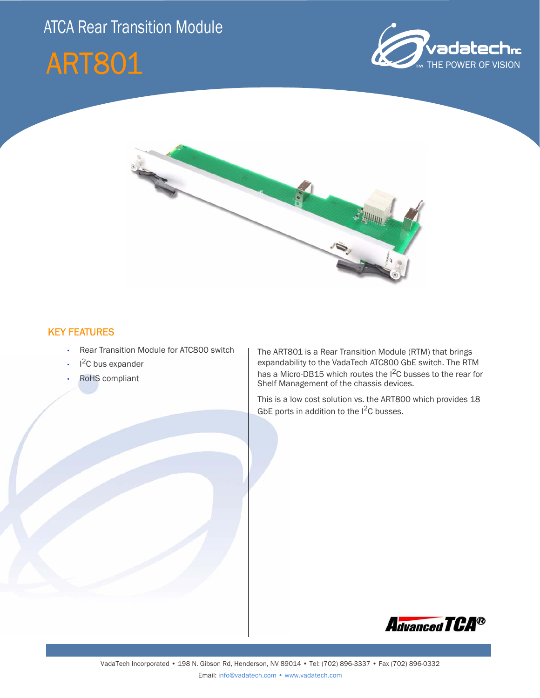## ATCA Rear Transition Module







## KEY FEATURES

- Rear Transition Module for ATC800 switch
- $\cdot$  I<sup>2</sup>C bus expander
- RoHS compliant

The ART801 is a Rear Transition Module (RTM) that brings expandability to the VadaTech ATC800 GbE switch. The RTM has a Micro-DB15 which routes the I<sup>2</sup>C busses to the rear for Shelf Management of the chassis devices.

This is a low cost solution vs. the ART800 which provides 18 GbE ports in addition to the  $1^2C$  busses.

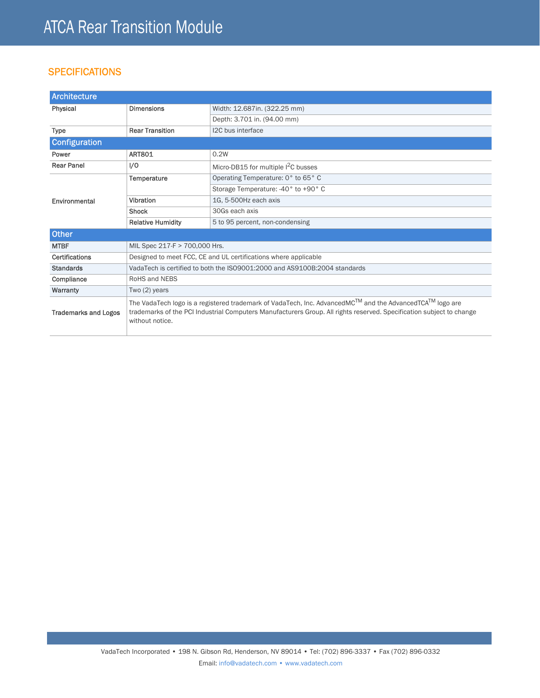## **SPECIFICATIONS**

| Architecture                |                                                                                                                                                                                                                                                                              |                                       |
|-----------------------------|------------------------------------------------------------------------------------------------------------------------------------------------------------------------------------------------------------------------------------------------------------------------------|---------------------------------------|
| Physical                    | <b>Dimensions</b>                                                                                                                                                                                                                                                            | Width: 12.687in. (322.25 mm)          |
|                             |                                                                                                                                                                                                                                                                              | Depth: 3.701 in. (94.00 mm)           |
| <b>Type</b>                 | <b>Rear Transition</b>                                                                                                                                                                                                                                                       | I2C bus interface                     |
| Configuration               |                                                                                                                                                                                                                                                                              |                                       |
| Power                       | <b>ART801</b>                                                                                                                                                                                                                                                                | 0.2W                                  |
| <b>Rear Panel</b>           | 1/0                                                                                                                                                                                                                                                                          | Micro-DB15 for multiple $1^2C$ busses |
| Environmental               | Temperature                                                                                                                                                                                                                                                                  | Operating Temperature: 0° to 65° C    |
|                             |                                                                                                                                                                                                                                                                              | Storage Temperature: -40° to +90° C   |
|                             | Vibration                                                                                                                                                                                                                                                                    | 1G, 5-500Hz each axis                 |
|                             | <b>Shock</b>                                                                                                                                                                                                                                                                 | 30Gs each axis                        |
|                             | <b>Relative Humidity</b>                                                                                                                                                                                                                                                     | 5 to 95 percent, non-condensing       |
| Other                       |                                                                                                                                                                                                                                                                              |                                       |
| <b>MTBF</b>                 | MIL Spec 217-F > 700,000 Hrs.                                                                                                                                                                                                                                                |                                       |
| <b>Certifications</b>       | Designed to meet FCC, CE and UL certifications where applicable                                                                                                                                                                                                              |                                       |
| <b>Standards</b>            | VadaTech is certified to both the ISO9001:2000 and AS9100B:2004 standards                                                                                                                                                                                                    |                                       |
| Compliance                  | RoHS and NEBS                                                                                                                                                                                                                                                                |                                       |
| Warranty                    | Two $(2)$ years                                                                                                                                                                                                                                                              |                                       |
| <b>Trademarks and Logos</b> | The VadaTech logo is a registered trademark of VadaTech, Inc. AdvancedMC <sup>IM</sup> and the AdvancedTCA <sup>IM</sup> logo are<br>trademarks of the PCI Industrial Computers Manufacturers Group. All rights reserved. Specification subject to change<br>without notice. |                                       |